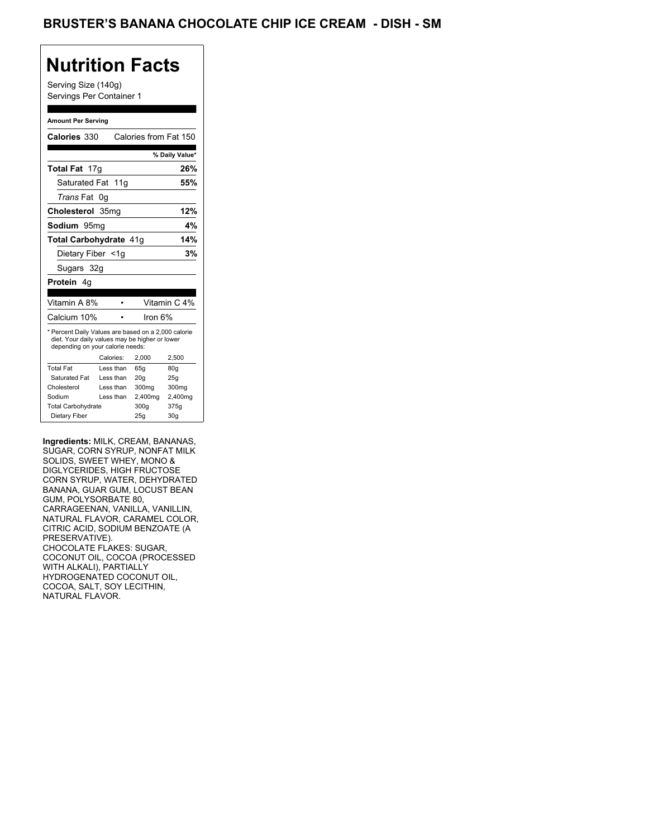## **Nutrition Facts**

Serving Size (140g) Servings Per Container 1

#### **Amount Per Serving**

| Calories 330                                                                                                                              |           | Calories from Fat 150 |                |
|-------------------------------------------------------------------------------------------------------------------------------------------|-----------|-----------------------|----------------|
|                                                                                                                                           |           |                       | % Daily Value* |
| Total Fat 17g                                                                                                                             |           |                       | 26%            |
| Saturated Fat 11g                                                                                                                         |           |                       | 55%            |
| <i>Trans</i> Fat                                                                                                                          | 0g        |                       |                |
| Cholesterol 35mg                                                                                                                          |           |                       | 12%            |
| Sodium 95mg                                                                                                                               |           |                       | 4%             |
| <b>Total Carbohydrate 41g</b>                                                                                                             |           |                       | 14%            |
| Dietary Fiber <1g                                                                                                                         |           |                       | 3%             |
| Sugars 32g                                                                                                                                |           |                       |                |
| Protein<br>4g                                                                                                                             |           |                       |                |
|                                                                                                                                           |           |                       |                |
| Vitamin A 8%                                                                                                                              |           |                       | Vitamin C 4%   |
| Calcium 10%                                                                                                                               |           | Iron $6\%$            |                |
| * Percent Daily Values are based on a 2,000 calorie<br>diet. Your daily values may be higher or lower<br>depending on your calorie needs: |           |                       |                |
|                                                                                                                                           | Calories: | 2,000                 | 2,500          |
| <b>Total Fat</b>                                                                                                                          | Less than | 65q                   | 80q            |
| Saturated Fat                                                                                                                             | Less than | 20q                   | 25g            |
| Cholesterol                                                                                                                               | Less than | 300mg                 | 300mg          |
| Sodium                                                                                                                                    | Less than | 2,400mg               | 2,400mg        |
| <b>Total Carbohydrate</b>                                                                                                                 |           | 300g                  | 375g           |

**Ingredients:** MILK, CREAM, BANANAS, SUGAR, CORN SYRUP, NONFAT MILK SOLIDS, SWEET WHEY, MONO & DIGLYCERIDES, HIGH FRUCTOSE CORN SYRUP, WATER, DEHYDRATED BANANA, GUAR GUM, LOCUST BEAN GUM, POLYSORBATE 80, CARRAGEENAN, VANILLA, VANILLIN, NATURAL FLAVOR, CARAMEL COLOR, CITRIC ACID, SODIUM BENZOATE (A PRESERVATIVE). CHOCOLATE FLAKES: SUGAR, COCONUT OIL, COCOA (PROCESSED WITH ALKALI), PARTIALLY HYDROGENATED COCONUT OIL, COCOA, SALT, SOY LECITHIN, NATURAL FLAVOR.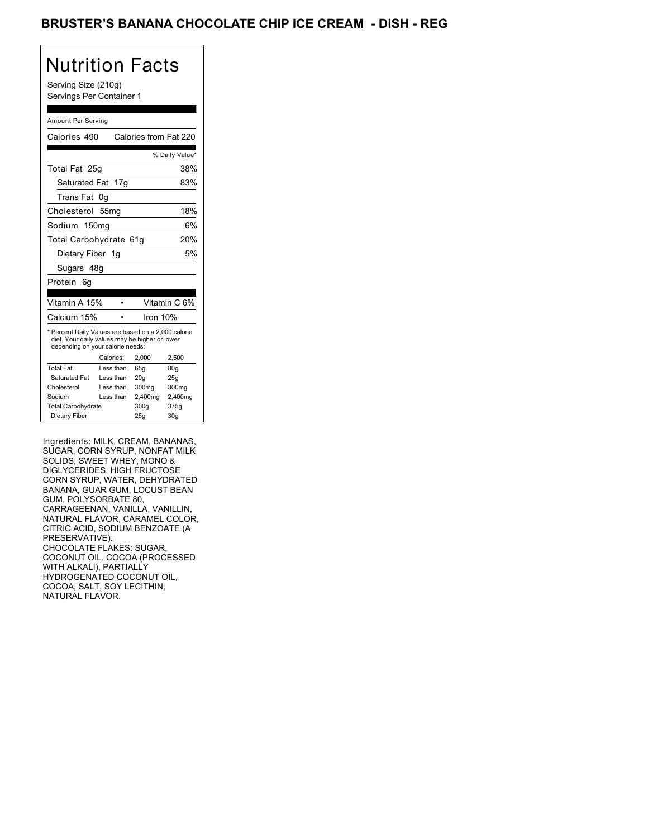### BRUSTER'S BANANA CHOCOLATE CHIP ICE CREAM - DISH - REG

# Nutrition Facts

Serving Size (210g) Servings Per Container 1

#### Amount Per Serving

| Calories 490                                                                                                                              |                  |       |         | Calories from Fat 220 |
|-------------------------------------------------------------------------------------------------------------------------------------------|------------------|-------|---------|-----------------------|
|                                                                                                                                           |                  |       |         | % Daily Value*        |
| Total Fat 25g                                                                                                                             |                  |       |         | 38%                   |
| Saturated Fat                                                                                                                             | 17g              |       |         | 83%                   |
| Trans Fat                                                                                                                                 | 0g               |       |         |                       |
| Cholesterol                                                                                                                               | 55 <sub>mq</sub> |       |         | 18%                   |
| Sodium 150mg                                                                                                                              |                  |       |         | 6%                    |
| Total Carbohydrate 61g                                                                                                                    |                  |       |         | 20%                   |
| Dietary Fiber 1g                                                                                                                          |                  |       |         | 5%                    |
| Sugars 48g                                                                                                                                |                  |       |         |                       |
| Protein<br>6q                                                                                                                             |                  |       |         |                       |
| Vitamin A 15%                                                                                                                             |                  |       |         | Vitamin C 6%          |
| Calcium 15%                                                                                                                               |                  |       |         | Iron 10%              |
|                                                                                                                                           |                  |       |         |                       |
| * Percent Daily Values are based on a 2,000 calorie<br>diet. Your daily values may be higher or lower<br>depending on your calorie needs: |                  |       |         |                       |
|                                                                                                                                           | Calories:        | 2.000 |         | 2,500                 |
| <b>Total Fat</b>                                                                                                                          | Less than        | 65q   |         | 80q                   |
| Saturated Fat                                                                                                                             | Less than        | 20q   |         | 25g                   |
| Cholesterol                                                                                                                               | Less than        | 300mg |         | 300mg                 |
| Sodium                                                                                                                                    | Less than        |       | 2,400mg | 2,400mg               |
| <b>Total Carbohydrate</b>                                                                                                                 |                  | 300g  |         | 375g                  |

Ingredients: MILK, CREAM, BANANAS, SUGAR, CORN SYRUP, NONFAT MILK SOLIDS, SWEET WHEY, MONO & DIGLYCERIDES, HIGH FRUCTOSE CORN SYRUP, WATER, DEHYDRATED BANANA, GUAR GUM, LOCUST BEAN GUM, POLYSORBATE 80, CARRAGEENAN, VANILLA, VANILLIN, NATURAL FLAVOR, CARAMEL COLOR, CITRIC ACID, SODIUM BENZOATE (A PRESERVATIVE). CHOCOLATE FLAKES: SUGAR, COCONUT OIL, COCOA (PROCESSED WITH ALKALI), PARTIALLY HYDROGENATED COCONUT OIL, COCOA, SALT, SOY LECITHIN, NATURAL FLAVOR.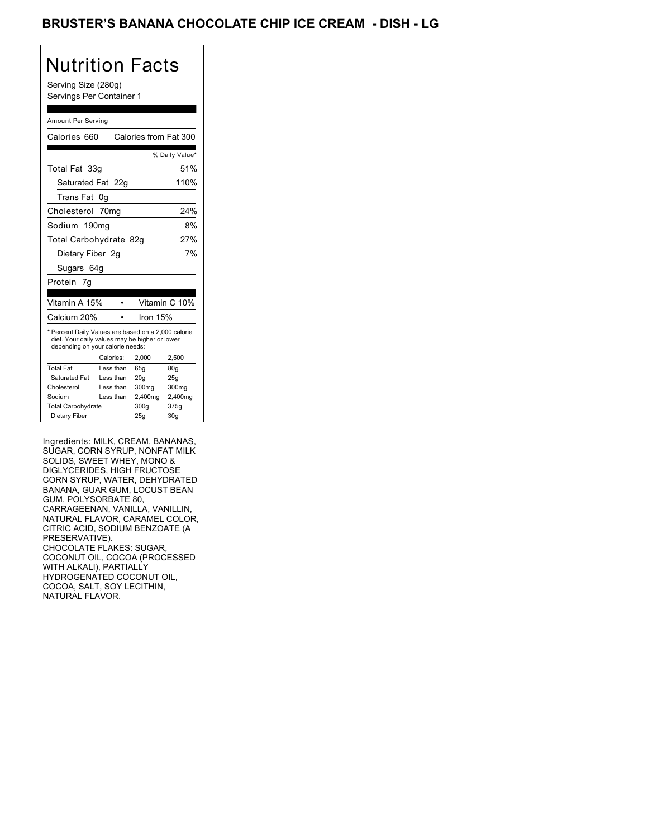### BRUSTER'S BANANA CHOCOLATE CHIP ICE CREAM - DISH - LG

# Nutrition Facts

Serving Size (280g) Servings Per Container 1

#### Amount Per Serving

| Calories 660                                                                                                                              |           | Calories from Fat 300 |                |
|-------------------------------------------------------------------------------------------------------------------------------------------|-----------|-----------------------|----------------|
|                                                                                                                                           |           |                       |                |
|                                                                                                                                           |           |                       | % Daily Value* |
| Total Fat 33g                                                                                                                             |           |                       | 51%            |
| Saturated Fat 22g                                                                                                                         |           |                       | 110%           |
| Trans Fat                                                                                                                                 | 0g        |                       |                |
| Cholesterol 70mg                                                                                                                          |           |                       | 24%            |
| Sodium 190mg                                                                                                                              |           |                       | 8%             |
| Total Carbohydrate 82g                                                                                                                    |           |                       | 27%            |
| Dietary Fiber 2g                                                                                                                          |           |                       | 7%             |
| Sugars 64g                                                                                                                                |           |                       |                |
| Protein<br>7q                                                                                                                             |           |                       |                |
| Vitamin A 15%                                                                                                                             |           |                       | Vitamin C 10%  |
| Calcium 20%                                                                                                                               |           | Iron 15%              |                |
| * Percent Daily Values are based on a 2,000 calorie<br>diet. Your daily values may be higher or lower<br>depending on your calorie needs: |           |                       |                |
|                                                                                                                                           | Calories: | 2.000                 | 2.500          |
| <b>Total Fat</b>                                                                                                                          | Less than | 65q                   | 80q            |
| Saturated Fat                                                                                                                             | Less than | 20q                   | 25q            |
|                                                                                                                                           | Less than | 300mg                 | 300mg          |
| Cholesterol                                                                                                                               |           |                       |                |
| Sodium                                                                                                                                    | Less than | 2,400mg               | 2,400mg        |
| <b>Total Carbohydrate</b>                                                                                                                 |           | 300g                  | 375g           |

Ingredients: MILK, CREAM, BANANAS, SUGAR, CORN SYRUP, NONFAT MILK SOLIDS, SWEET WHEY, MONO & DIGLYCERIDES, HIGH FRUCTOSE CORN SYRUP, WATER, DEHYDRATED BANANA, GUAR GUM, LOCUST BEAN GUM, POLYSORBATE 80, CARRAGEENAN, VANILLA, VANILLIN, NATURAL FLAVOR, CARAMEL COLOR, CITRIC ACID, SODIUM BENZOATE (A PRESERVATIVE). CHOCOLATE FLAKES: SUGAR, COCONUT OIL, COCOA (PROCESSED WITH ALKALI), PARTIALLY HYDROGENATED COCONUT OIL, COCOA, SALT, SOY LECITHIN, NATURAL FLAVOR.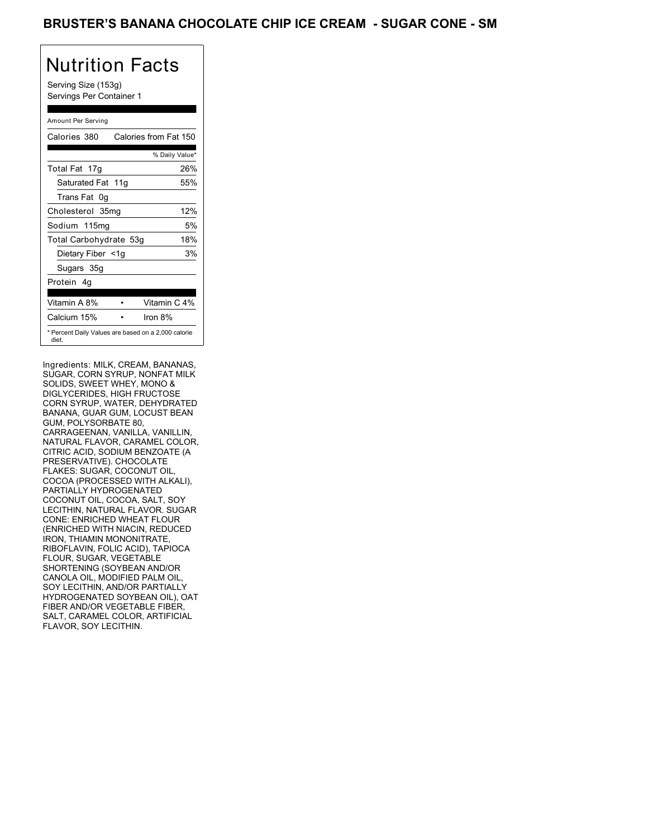### BRUSTER'S BANANA CHOCOLATE CHIP ICE CREAM - SUGAR CONE - SM

# Nutrition Facts

Serving Size (153g) Servings Per Container 1

#### Amount Per Serving

| Calories 380           | Calories from Fat 150                               |
|------------------------|-----------------------------------------------------|
|                        | % Daily Value*                                      |
| Total Fat 17g          | 26%                                                 |
| Saturated Fat 11g      | 55%                                                 |
| Trans Fat 0q           |                                                     |
| Cholesterol 35mg       | 12%                                                 |
| Sodium 115mg           | 5%                                                  |
| Total Carbohydrate 53g | 18%                                                 |
| Dietary Fiber <1g      | 3%                                                  |
| Sugars 35g             |                                                     |
| Protein 4q             |                                                     |
|                        |                                                     |
| Vitamin A 8%           | Vitamin C 4%                                        |
| Calcium 15%            | Iron $8%$                                           |
| diet.                  | * Percent Daily Values are based on a 2,000 calorie |

Ingredients: MILK, CREAM, BANANAS, SUGAR, CORN SYRUP, NONFAT MILK SOLIDS, SWEET WHEY, MONO & DIGLYCERIDES, HIGH FRUCTOSE CORN SYRUP, WATER, DEHYDRATED BANANA, GUAR GUM, LOCUST BEAN GUM, POLYSORBATE 80, CARRAGEENAN, VANILLA, VANILLIN, NATURAL FLAVOR, CARAMEL COLOR, CITRIC ACID, SODIUM BENZOATE (A PRESERVATIVE). CHOCOLATE FLAKES: SUGAR, COCONUT OIL, COCOA (PROCESSED WITH ALKALI), PARTIALLY HYDROGENATED COCONUT OIL, COCOA, SALT, SOY LECITHIN, NATURAL FLAVOR. SUGAR CONE: ENRICHED WHEAT FLOUR (ENRICHED WITH NIACIN, REDUCED IRON, THIAMIN MONONITRATE, RIBOFLAVIN, FOLIC ACID), TAPIOCA FLOUR, SUGAR, VEGETABLE SHORTENING (SOYBEAN AND/OR CANOLA OIL, MODIFIED PALM OIL, SOY LECITHIN, AND/OR PARTIALLY HYDROGENATED SOYBEAN OIL), OAT FIBER AND/OR VEGETABLE FIBER, SALT, CARAMEL COLOR, ARTIFICIAL FLAVOR, SOY LECITHIN.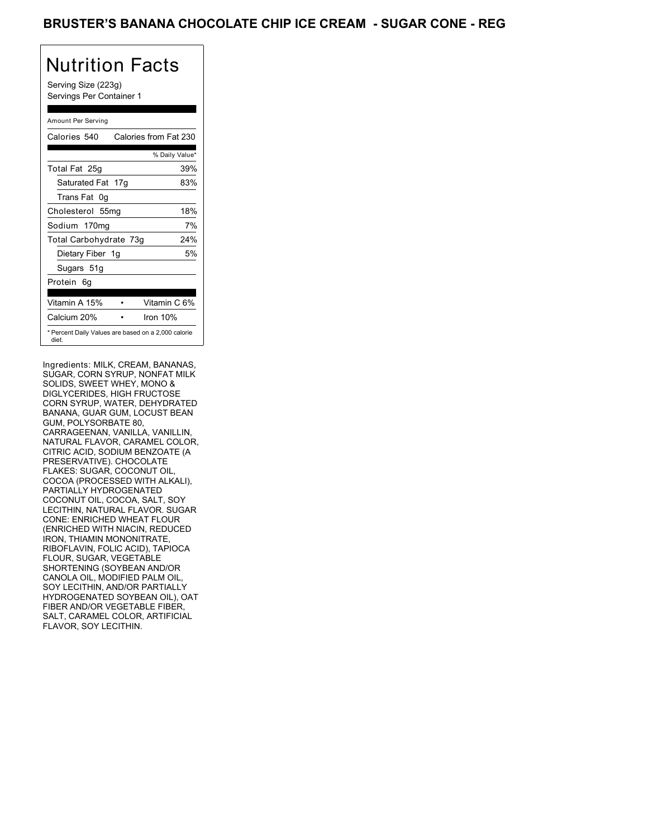### BRUSTER'S BANANA CHOCOLATE CHIP ICE CREAM - SUGAR CONE - REG

## Nutrition Facts

Serving Size (223g) Servings Per Container 1

#### Amount Per Serving

| Calories 540           | Calories from Fat 230                               |
|------------------------|-----------------------------------------------------|
|                        | % Daily Value*                                      |
| Total Fat 25g          | 39%                                                 |
| Saturated Fat 17g      | 83%                                                 |
| Trans Fat 0q           |                                                     |
| Cholesterol 55mg       | 18%                                                 |
| Sodium 170mg           | 7%                                                  |
| Total Carbohydrate 73g | 24%                                                 |
| Dietary Fiber 1g       | 5%                                                  |
| Sugars 51g             |                                                     |
| Protein 6q             |                                                     |
| Vitamin A 15%          | Vitamin C 6%                                        |
| Calcium 20%            | Iron 10%                                            |
| diet.                  | * Percent Daily Values are based on a 2,000 calorie |

Ingredients: MILK, CREAM, BANANAS, SUGAR, CORN SYRUP, NONFAT MILK SOLIDS, SWEET WHEY, MONO & DIGLYCERIDES, HIGH FRUCTOSE CORN SYRUP, WATER, DEHYDRATED BANANA, GUAR GUM, LOCUST BEAN GUM, POLYSORBATE 80, CARRAGEENAN, VANILLA, VANILLIN, NATURAL FLAVOR, CARAMEL COLOR, CITRIC ACID, SODIUM BENZOATE (A PRESERVATIVE). CHOCOLATE FLAKES: SUGAR, COCONUT OIL, COCOA (PROCESSED WITH ALKALI), PARTIALLY HYDROGENATED COCONUT OIL, COCOA, SALT, SOY LECITHIN, NATURAL FLAVOR. SUGAR CONE: ENRICHED WHEAT FLOUR (ENRICHED WITH NIACIN, REDUCED IRON, THIAMIN MONONITRATE, RIBOFLAVIN, FOLIC ACID), TAPIOCA FLOUR, SUGAR, VEGETABLE SHORTENING (SOYBEAN AND/OR CANOLA OIL, MODIFIED PALM OIL, SOY LECITHIN, AND/OR PARTIALLY HYDROGENATED SOYBEAN OIL), OAT FIBER AND/OR VEGETABLE FIBER, SALT, CARAMEL COLOR, ARTIFICIAL FLAVOR, SOY LECITHIN.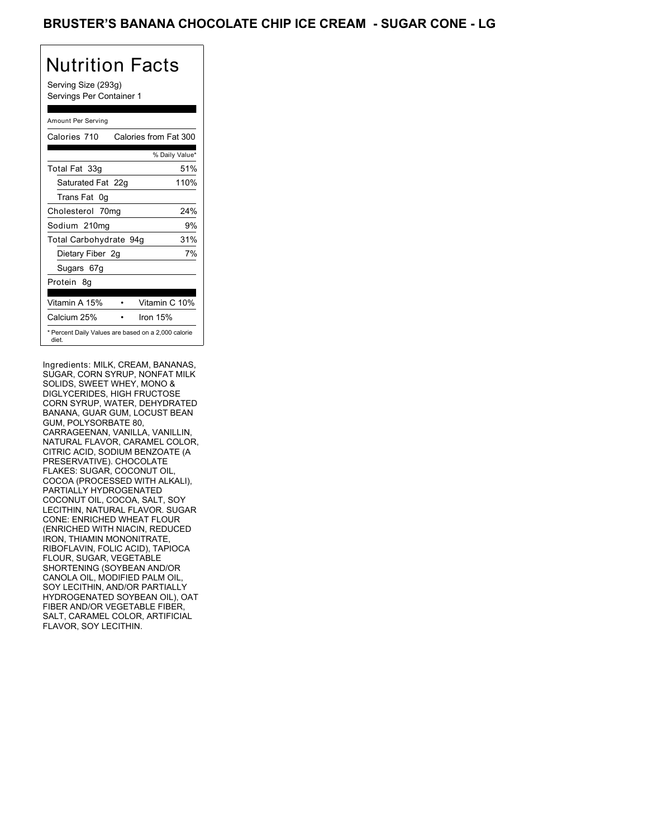### BRUSTER'S BANANA CHOCOLATE CHIP ICE CREAM - SUGAR CONE - LG

# Nutrition Facts

Serving Size (293g) Servings Per Container 1

#### Amount Per Serving

| Calories 710                                                 | Calories from Fat 300 |      |
|--------------------------------------------------------------|-----------------------|------|
|                                                              | % Daily Value*        |      |
| Total Fat 33g                                                |                       | 51%  |
| Saturated Fat 22g                                            |                       | 110% |
| Trans Fat 0q                                                 |                       |      |
| Cholesterol 70mg                                             |                       | 24%  |
| Sodium 210mg                                                 |                       | 9%   |
| Total Carbohydrate 94g                                       |                       | 31%  |
| Dietary Fiber 2g                                             |                       | 7%   |
| Sugars 67g                                                   |                       |      |
| Protein 8q                                                   |                       |      |
|                                                              |                       |      |
| Vitamin A 15%                                                | Vitamin C 10%         |      |
| Calcium 25%                                                  | Iron $15%$            |      |
| * Percent Daily Values are based on a 2,000 calorie<br>diet. |                       |      |

Ingredients: MILK, CREAM, BANANAS, SUGAR, CORN SYRUP, NONFAT MILK SOLIDS, SWEET WHEY, MONO & DIGLYCERIDES, HIGH FRUCTOSE CORN SYRUP, WATER, DEHYDRATED BANANA, GUAR GUM, LOCUST BEAN GUM, POLYSORBATE 80, CARRAGEENAN, VANILLA, VANILLIN, NATURAL FLAVOR, CARAMEL COLOR, CITRIC ACID, SODIUM BENZOATE (A PRESERVATIVE). CHOCOLATE FLAKES: SUGAR, COCONUT OIL, COCOA (PROCESSED WITH ALKALI), PARTIALLY HYDROGENATED COCONUT OIL, COCOA, SALT, SOY LECITHIN, NATURAL FLAVOR. SUGAR CONE: ENRICHED WHEAT FLOUR (ENRICHED WITH NIACIN, REDUCED IRON, THIAMIN MONONITRATE, RIBOFLAVIN, FOLIC ACID), TAPIOCA FLOUR, SUGAR, VEGETABLE SHORTENING (SOYBEAN AND/OR CANOLA OIL, MODIFIED PALM OIL, SOY LECITHIN, AND/OR PARTIALLY HYDROGENATED SOYBEAN OIL), OAT FIBER AND/OR VEGETABLE FIBER, SALT, CARAMEL COLOR, ARTIFICIAL FLAVOR, SOY LECITHIN.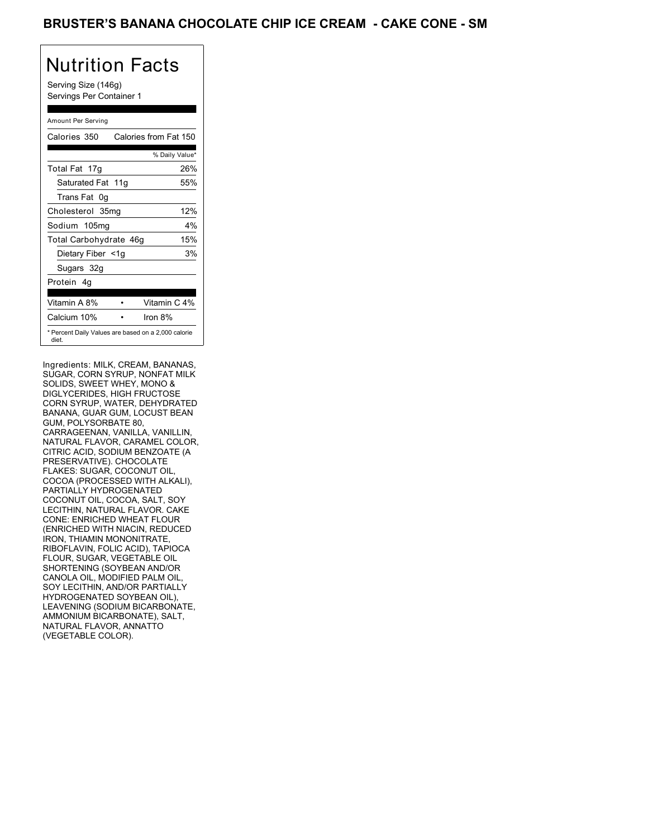### BRUSTER'S BANANA CHOCOLATE CHIP ICE CREAM - CAKE CONE - SM

## Nutrition Facts

Serving Size (146g) Servings Per Container 1

#### Amount Per Serving

| Calories 350           | Calories from Fat 150                               |
|------------------------|-----------------------------------------------------|
|                        | % Daily Value*                                      |
| Total Fat 17g          | 26%                                                 |
| Saturated Fat 11g      | 55%                                                 |
| Trans Fat 0q           |                                                     |
| Cholesterol 35mg       | 12%                                                 |
| Sodium 105mg           | 4%                                                  |
| Total Carbohydrate 46g | 15%                                                 |
| Dietary Fiber <1g      | 3%                                                  |
| Sugars 32g             |                                                     |
| Protein 4q             |                                                     |
| Vitamin A 8%           | Vitamin C 4%                                        |
| Calcium 10%            | Iron 8%                                             |
| diet.                  | * Percent Daily Values are based on a 2,000 calorie |

Ingredients: MILK, CREAM, BANANAS, SUGAR, CORN SYRUP, NONFAT MILK SOLIDS, SWEET WHEY, MONO & DIGLYCERIDES, HIGH FRUCTOSE CORN SYRUP, WATER, DEHYDRATED BANANA, GUAR GUM, LOCUST BEAN GUM, POLYSORBATE 80, CARRAGEENAN, VANILLA, VANILLIN, NATURAL FLAVOR, CARAMEL COLOR, CITRIC ACID, SODIUM BENZOATE (A PRESERVATIVE). CHOCOLATE FLAKES: SUGAR, COCONUT OIL, COCOA (PROCESSED WITH ALKALI), PARTIALLY HYDROGENATED COCONUT OIL, COCOA, SALT, SOY LECITHIN, NATURAL FLAVOR. CAKE CONE: ENRICHED WHEAT FLOUR (ENRICHED WITH NIACIN, REDUCED IRON, THIAMIN MONONITRATE, RIBOFLAVIN, FOLIC ACID), TAPIOCA FLOUR, SUGAR, VEGETABLE OIL SHORTENING (SOYBEAN AND/OR CANOLA OIL, MODIFIED PALM OIL, SOY LECITHIN, AND/OR PARTIALLY HYDROGENATED SOYBEAN OIL), LEAVENING (SODIUM BICARBONATE, AMMONIUM BICARBONATE), SALT, NATURAL FLAVOR, ANNATTO (VEGETABLE COLOR).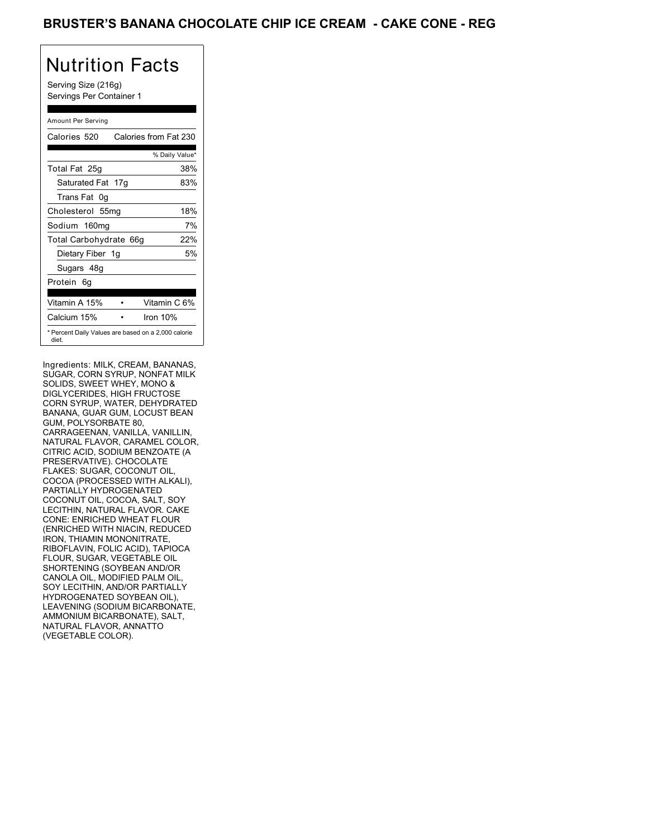### BRUSTER'S BANANA CHOCOLATE CHIP ICE CREAM - CAKE CONE - REG

# Nutrition Facts

Serving Size (216g) Servings Per Container 1

#### Amount Per Serving

| Calories 520           | Calories from Fat 230                               |
|------------------------|-----------------------------------------------------|
|                        | % Daily Value*                                      |
| Total Fat 25g          | 38%                                                 |
| Saturated Fat 17g      | 83%                                                 |
| Trans Fat 0q           |                                                     |
| Cholesterol 55mg       | 18%                                                 |
| Sodium 160mg           | 7%                                                  |
| Total Carbohydrate 66g | 22%                                                 |
| Dietary Fiber 1g       | 5%                                                  |
| Sugars 48g             |                                                     |
| Protein 6q             |                                                     |
|                        |                                                     |
| Vitamin A 15%          | Vitamin C 6%                                        |
| Calcium 15%            | Iron 10%                                            |
| diet.                  | * Percent Daily Values are based on a 2,000 calorie |

Ingredients: MILK, CREAM, BANANAS, SUGAR, CORN SYRUP, NONFAT MILK SOLIDS, SWEET WHEY, MONO & DIGLYCERIDES, HIGH FRUCTOSE CORN SYRUP, WATER, DEHYDRATED BANANA, GUAR GUM, LOCUST BEAN GUM, POLYSORBATE 80, CARRAGEENAN, VANILLA, VANILLIN, NATURAL FLAVOR, CARAMEL COLOR, CITRIC ACID, SODIUM BENZOATE (A PRESERVATIVE). CHOCOLATE FLAKES: SUGAR, COCONUT OIL, COCOA (PROCESSED WITH ALKALI), PARTIALLY HYDROGENATED COCONUT OIL, COCOA, SALT, SOY LECITHIN, NATURAL FLAVOR. CAKE CONE: ENRICHED WHEAT FLOUR (ENRICHED WITH NIACIN, REDUCED IRON, THIAMIN MONONITRATE, RIBOFLAVIN, FOLIC ACID), TAPIOCA FLOUR, SUGAR, VEGETABLE OIL SHORTENING (SOYBEAN AND/OR CANOLA OIL, MODIFIED PALM OIL, SOY LECITHIN, AND/OR PARTIALLY HYDROGENATED SOYBEAN OIL), LEAVENING (SODIUM BICARBONATE, AMMONIUM BICARBONATE), SALT, NATURAL FLAVOR, ANNATTO (VEGETABLE COLOR).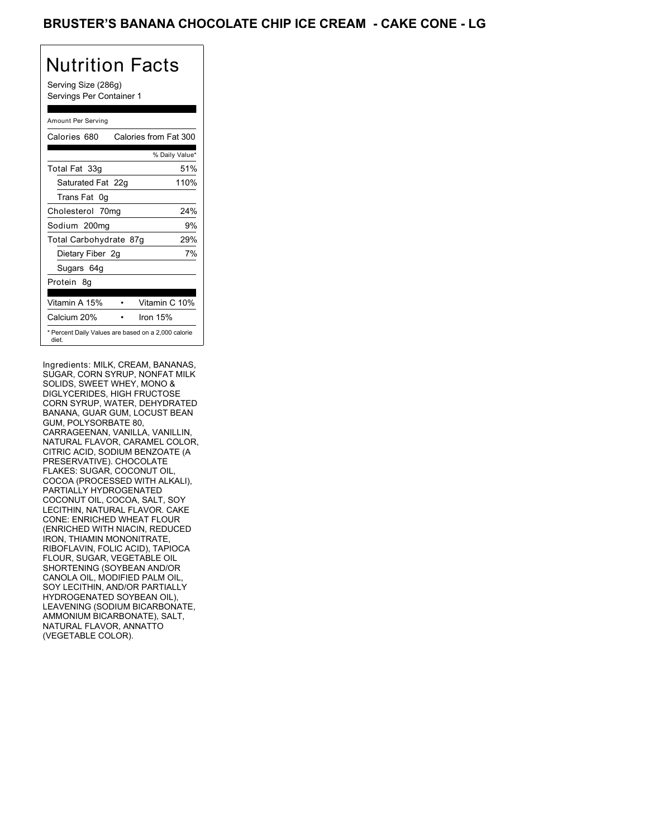### BRUSTER'S BANANA CHOCOLATE CHIP ICE CREAM - CAKE CONE - LG

# Nutrition Facts

Serving Size (286g) Servings Per Container 1

#### Amount Per Serving

| Calories 680                                                 | Calories from Fat 300 |      |
|--------------------------------------------------------------|-----------------------|------|
|                                                              | % Daily Value*        |      |
| Total Fat 33g                                                |                       | 51%  |
| Saturated Fat 22g                                            |                       | 110% |
| Trans Fat 0g                                                 |                       |      |
| Cholesterol 70mg                                             |                       | 24%  |
| Sodium 200mg                                                 |                       | 9%   |
| Total Carbohydrate 87g                                       |                       | 29%  |
| Dietary Fiber 2g                                             |                       | 7%   |
| Sugars 64g                                                   |                       |      |
| Protein 8q                                                   |                       |      |
| Vitamin A 15%                                                | Vitamin C 10%         |      |
| Calcium 20%                                                  | Iron $15%$            |      |
| * Percent Daily Values are based on a 2,000 calorie<br>diet. |                       |      |

Ingredients: MILK, CREAM, BANANAS, SUGAR, CORN SYRUP, NONFAT MILK SOLIDS, SWEET WHEY, MONO & DIGLYCERIDES, HIGH FRUCTOSE CORN SYRUP, WATER, DEHYDRATED BANANA, GUAR GUM, LOCUST BEAN GUM, POLYSORBATE 80, CARRAGEENAN, VANILLA, VANILLIN, NATURAL FLAVOR, CARAMEL COLOR, CITRIC ACID, SODIUM BENZOATE (A PRESERVATIVE). CHOCOLATE FLAKES: SUGAR, COCONUT OIL, COCOA (PROCESSED WITH ALKALI), PARTIALLY HYDROGENATED COCONUT OIL, COCOA, SALT, SOY LECITHIN, NATURAL FLAVOR. CAKE CONE: ENRICHED WHEAT FLOUR (ENRICHED WITH NIACIN, REDUCED IRON, THIAMIN MONONITRATE, RIBOFLAVIN, FOLIC ACID), TAPIOCA FLOUR, SUGAR, VEGETABLE OIL SHORTENING (SOYBEAN AND/OR CANOLA OIL, MODIFIED PALM OIL, SOY LECITHIN, AND/OR PARTIALLY HYDROGENATED SOYBEAN OIL), LEAVENING (SODIUM BICARBONATE, AMMONIUM BICARBONATE), SALT, NATURAL FLAVOR, ANNATTO (VEGETABLE COLOR).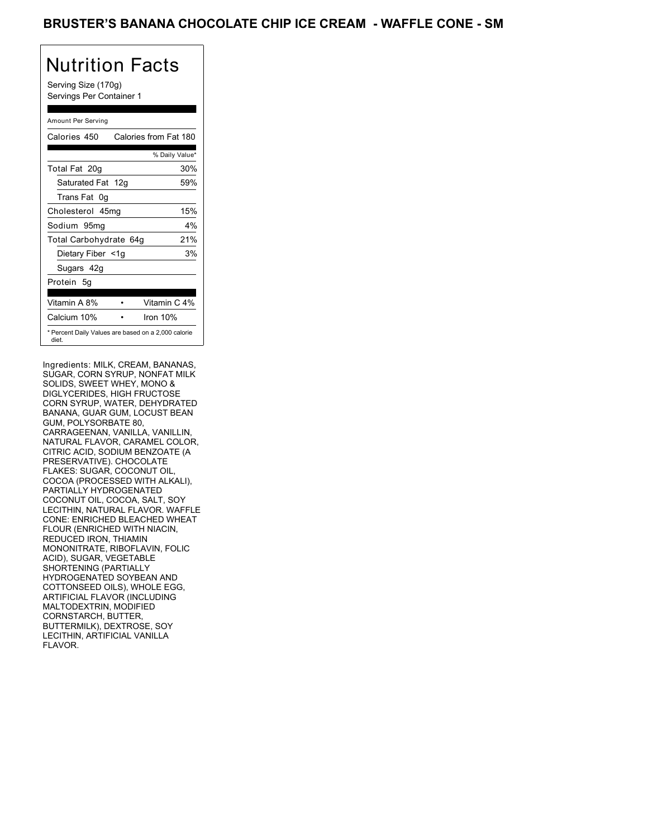### BRUSTER'S BANANA CHOCOLATE CHIP ICE CREAM - WAFFLE CONE - SM

# Nutrition Facts

Serving Size (170g) Servings Per Container 1

#### Amount Per Serving

| Calories 450                                                 | Calories from Fat 180 |
|--------------------------------------------------------------|-----------------------|
|                                                              | % Daily Value*        |
| Total Fat 20g                                                | 30%                   |
| Saturated Fat 12g                                            | 59%                   |
| Trans Fat 0q                                                 |                       |
| Cholesterol 45mg                                             | 15%                   |
| Sodium 95mg                                                  | 4%                    |
| Total Carbohydrate 64g                                       | 21%                   |
| Dietary Fiber <1g                                            | 3%                    |
| Sugars 42g                                                   |                       |
| Protein 5q                                                   |                       |
| Vitamin A 8%                                                 | Vitamin C 4%          |
| Calcium 10%                                                  | Iron $10%$            |
| * Percent Daily Values are based on a 2,000 calorie<br>diet. |                       |

Ingredients: MILK, CREAM, BANANAS, SUGAR, CORN SYRUP, NONFAT MILK SOLIDS, SWEET WHEY, MONO & DIGLYCERIDES, HIGH FRUCTOSE CORN SYRUP, WATER, DEHYDRATED BANANA, GUAR GUM, LOCUST BEAN GUM, POLYSORBATE 80, CARRAGEENAN, VANILLA, VANILLIN, NATURAL FLAVOR, CARAMEL COLOR, CITRIC ACID, SODIUM BENZOATE (A PRESERVATIVE). CHOCOLATE FLAKES: SUGAR, COCONUT OIL, COCOA (PROCESSED WITH ALKALI), PARTIALLY HYDROGENATED COCONUT OIL, COCOA, SALT, SOY LECITHIN, NATURAL FLAVOR. WAFFLE CONE: ENRICHED BLEACHED WHEAT FLOUR (ENRICHED WITH NIACIN, REDUCED IRON, THIAMIN MONONITRATE, RIBOFLAVIN, FOLIC ACID), SUGAR, VEGETABLE SHORTENING (PARTIALLY HYDROGENATED SOYBEAN AND COTTONSEED OILS), WHOLE EGG, ARTIFICIAL FLAVOR (INCLUDING MALTODEXTRIN, MODIFIED CORNSTARCH, BUTTER, BUTTERMILK), DEXTROSE, SOY LECITHIN, ARTIFICIAL VANILLA FLAVOR.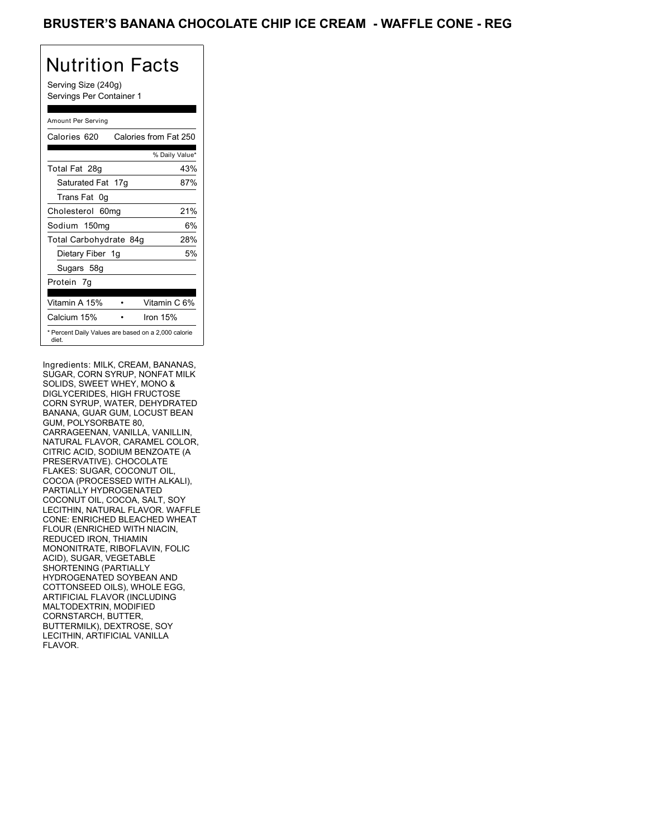### BRUSTER'S BANANA CHOCOLATE CHIP ICE CREAM - WAFFLE CONE - REG

## Nutrition Facts

Serving Size (240g) Servings Per Container 1

#### Amount Per Serving

| Calories 620           | Calories from Fat 250                               |
|------------------------|-----------------------------------------------------|
|                        | % Daily Value*                                      |
| Total Fat 28g          | 43%                                                 |
| Saturated Fat 17g      | 87%                                                 |
| Trans Fat 0q           |                                                     |
| Cholesterol 60mg       | 21%                                                 |
| Sodium 150mg           | 6%                                                  |
| Total Carbohydrate 84g | 28%                                                 |
| Dietary Fiber 1g       | 5%                                                  |
| Sugars 58g             |                                                     |
| Protein 7q             |                                                     |
| Vitamin A 15%          | Vitamin C 6%                                        |
| Calcium 15%            | Iron 15%                                            |
| diet.                  | * Percent Daily Values are based on a 2,000 calorie |

Ingredients: MILK, CREAM, BANANAS, SUGAR, CORN SYRUP, NONFAT MILK SOLIDS, SWEET WHEY, MONO & DIGLYCERIDES, HIGH FRUCTOSE CORN SYRUP, WATER, DEHYDRATED BANANA, GUAR GUM, LOCUST BEAN GUM, POLYSORBATE 80, CARRAGEENAN, VANILLA, VANILLIN, NATURAL FLAVOR, CARAMEL COLOR, CITRIC ACID, SODIUM BENZOATE (A PRESERVATIVE). CHOCOLATE FLAKES: SUGAR, COCONUT OIL, COCOA (PROCESSED WITH ALKALI), PARTIALLY HYDROGENATED COCONUT OIL, COCOA, SALT, SOY LECITHIN, NATURAL FLAVOR. WAFFLE CONE: ENRICHED BLEACHED WHEAT FLOUR (ENRICHED WITH NIACIN, REDUCED IRON, THIAMIN MONONITRATE, RIBOFLAVIN, FOLIC ACID), SUGAR, VEGETABLE SHORTENING (PARTIALLY HYDROGENATED SOYBEAN AND COTTONSEED OILS), WHOLE EGG, ARTIFICIAL FLAVOR (INCLUDING MALTODEXTRIN, MODIFIED CORNSTARCH, BUTTER, BUTTERMILK), DEXTROSE, SOY LECITHIN, ARTIFICIAL VANILLA FLAVOR.